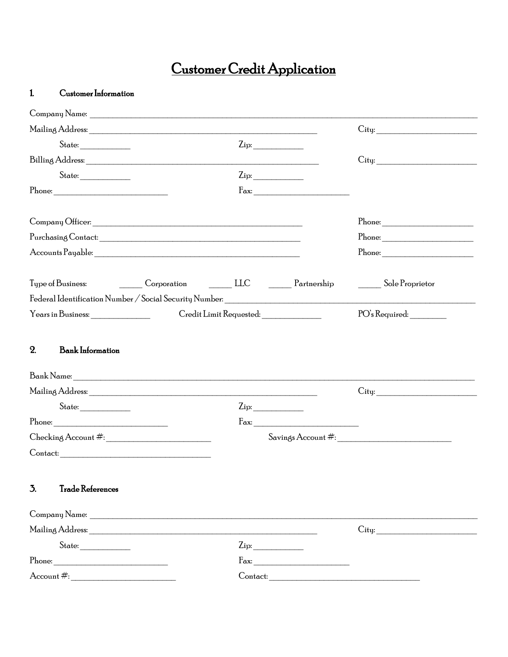## Customer Credit Application

## $\mathbf{1}$  $\begin{minipage}{.4\linewidth} \textbf{Customer Information} \end{minipage} \vspace{-0.03in}$

| $State: \begin{tabular}{ c c c } \hline \quad \quad & \quad \quad & \quad \quad \\ \hline \end{tabular}$                                                                                                                                                                                                                                                                                                                                                                              |                                                                                  | $\mathop{\rm Zip}\nolimits$            |                                                                                                                                                                                                                                                                                                                                                                                                                                        |                                                                                                                                                                                                                                                                                                                                                                                                                                                              |
|---------------------------------------------------------------------------------------------------------------------------------------------------------------------------------------------------------------------------------------------------------------------------------------------------------------------------------------------------------------------------------------------------------------------------------------------------------------------------------------|----------------------------------------------------------------------------------|----------------------------------------|----------------------------------------------------------------------------------------------------------------------------------------------------------------------------------------------------------------------------------------------------------------------------------------------------------------------------------------------------------------------------------------------------------------------------------------|--------------------------------------------------------------------------------------------------------------------------------------------------------------------------------------------------------------------------------------------------------------------------------------------------------------------------------------------------------------------------------------------------------------------------------------------------------------|
|                                                                                                                                                                                                                                                                                                                                                                                                                                                                                       |                                                                                  |                                        |                                                                                                                                                                                                                                                                                                                                                                                                                                        | City:                                                                                                                                                                                                                                                                                                                                                                                                                                                        |
| $\begin{minipage}{0.9\linewidth} \textbf{State:} \begin{tabular}{ c c c } \hline \multicolumn{3}{ c }{\textbf{State:}} \quad \textbf{B} & \multicolumn{3}{ c }{\textbf{State:}} \quad \textbf{B} & \multicolumn{3}{ c }{\textbf{State:}} \quad \textbf{B} & \multicolumn{3}{ c }{\textbf{State:}} \quad \textbf{B} & \multicolumn{3}{ c }{\textbf{State:}} \quad \textbf{B} & \multicolumn{3}{ c }{\textbf{State:}} \quad \textbf{B} & \multicolumn{3}{ c }{\textbf{State:}} \quad \$ |                                                                                  | $\mathsf{Zip:}\qquad \qquad$           |                                                                                                                                                                                                                                                                                                                                                                                                                                        |                                                                                                                                                                                                                                                                                                                                                                                                                                                              |
| Phone:                                                                                                                                                                                                                                                                                                                                                                                                                                                                                |                                                                                  |                                        | $\rm{Fax:}$                                                                                                                                                                                                                                                                                                                                                                                                                            |                                                                                                                                                                                                                                                                                                                                                                                                                                                              |
|                                                                                                                                                                                                                                                                                                                                                                                                                                                                                       |                                                                                  |                                        |                                                                                                                                                                                                                                                                                                                                                                                                                                        |                                                                                                                                                                                                                                                                                                                                                                                                                                                              |
|                                                                                                                                                                                                                                                                                                                                                                                                                                                                                       |                                                                                  |                                        |                                                                                                                                                                                                                                                                                                                                                                                                                                        | $\begin{minipage}{.4\linewidth} \textbf{Phone:} \begin{tabular}{ .2cm} \textbf{ر@3} \end{tabular} \end{minipage} \vspace{0.5cm} \begin{tabular}{ .2cm } \textbf{Phone:} \end{tabular} \end{minipage} \vspace{0.5cm} \begin{tabular}{ .2cm } \textbf{1} & \textbf{1} & \textbf{1} & \textbf{1} & \textbf{1} & \textbf{1} & \textbf{1} & \textbf{1} & \textbf{1} & \textbf{1} & \textbf{1} & \textbf{1} & \textbf{1} & \textbf{1} & \textbf{1} & \textbf{1} &$ |
|                                                                                                                                                                                                                                                                                                                                                                                                                                                                                       |                                                                                  |                                        |                                                                                                                                                                                                                                                                                                                                                                                                                                        |                                                                                                                                                                                                                                                                                                                                                                                                                                                              |
|                                                                                                                                                                                                                                                                                                                                                                                                                                                                                       |                                                                                  |                                        |                                                                                                                                                                                                                                                                                                                                                                                                                                        | Sole Proprietor                                                                                                                                                                                                                                                                                                                                                                                                                                              |
|                                                                                                                                                                                                                                                                                                                                                                                                                                                                                       | Federal Identification Number / Social Security Number: ________________________ |                                        |                                                                                                                                                                                                                                                                                                                                                                                                                                        |                                                                                                                                                                                                                                                                                                                                                                                                                                                              |
| Years in Business:                                                                                                                                                                                                                                                                                                                                                                                                                                                                    |                                                                                  | Credit Limit Requested: ______________ |                                                                                                                                                                                                                                                                                                                                                                                                                                        | PO's Required:                                                                                                                                                                                                                                                                                                                                                                                                                                               |
|                                                                                                                                                                                                                                                                                                                                                                                                                                                                                       |                                                                                  |                                        |                                                                                                                                                                                                                                                                                                                                                                                                                                        |                                                                                                                                                                                                                                                                                                                                                                                                                                                              |
|                                                                                                                                                                                                                                                                                                                                                                                                                                                                                       |                                                                                  |                                        |                                                                                                                                                                                                                                                                                                                                                                                                                                        | City:                                                                                                                                                                                                                                                                                                                                                                                                                                                        |
|                                                                                                                                                                                                                                                                                                                                                                                                                                                                                       |                                                                                  | $\mathop{\rm Zip}\nolimits$            |                                                                                                                                                                                                                                                                                                                                                                                                                                        |                                                                                                                                                                                                                                                                                                                                                                                                                                                              |
| Phone:                                                                                                                                                                                                                                                                                                                                                                                                                                                                                |                                                                                  |                                        | $\begin{tabular}{ll} \bf{Fax:} & \begin{tabular}{ l l l } \hline \multicolumn{1}{ l l } \multicolumn{1}{ l } \multicolumn{1}{ l } \multicolumn{1}{ l } \multicolumn{1}{ l } \multicolumn{1}{ l } \multicolumn{1}{ l } \multicolumn{1}{ l } \multicolumn{1}{ l } \multicolumn{1}{ l } \multicolumn{1}{ l } \multicolumn{1}{ l } \multicolumn{1}{ l } \multicolumn{1}{ l } \multicolumn{1}{ l } \multicolumn{1}{ l } \multicolumn{1}{ l$ |                                                                                                                                                                                                                                                                                                                                                                                                                                                              |
|                                                                                                                                                                                                                                                                                                                                                                                                                                                                                       |                                                                                  |                                        |                                                                                                                                                                                                                                                                                                                                                                                                                                        |                                                                                                                                                                                                                                                                                                                                                                                                                                                              |
|                                                                                                                                                                                                                                                                                                                                                                                                                                                                                       |                                                                                  |                                        |                                                                                                                                                                                                                                                                                                                                                                                                                                        |                                                                                                                                                                                                                                                                                                                                                                                                                                                              |
| 3.<br><b>Trade References</b>                                                                                                                                                                                                                                                                                                                                                                                                                                                         |                                                                                  |                                        |                                                                                                                                                                                                                                                                                                                                                                                                                                        |                                                                                                                                                                                                                                                                                                                                                                                                                                                              |
|                                                                                                                                                                                                                                                                                                                                                                                                                                                                                       |                                                                                  |                                        |                                                                                                                                                                                                                                                                                                                                                                                                                                        |                                                                                                                                                                                                                                                                                                                                                                                                                                                              |
|                                                                                                                                                                                                                                                                                                                                                                                                                                                                                       |                                                                                  |                                        |                                                                                                                                                                                                                                                                                                                                                                                                                                        | City:                                                                                                                                                                                                                                                                                                                                                                                                                                                        |
| $\begin{minipage}{0.9\linewidth} \textbf{State:} \begin{tabular}{ c c c } \hline \multicolumn{3}{ c }{\textbf{State:}} \quad \textbf{B} & \multicolumn{3}{ c }{\textbf{State:}} \quad \textbf{B} & \multicolumn{3}{ c }{\textbf{State:}} \quad \textbf{B} & \multicolumn{3}{ c }{\textbf{State:}} \quad \textbf{B} & \multicolumn{3}{ c }{\textbf{State:}} \quad \textbf{B} & \multicolumn{3}{ c }{\textbf{State:}} \quad \textbf{B} & \multicolumn{3}{ c }{\textbf{State:}} \quad \$ |                                                                                  | $\mathsf{Zip:}\qquad \qquad$           |                                                                                                                                                                                                                                                                                                                                                                                                                                        |                                                                                                                                                                                                                                                                                                                                                                                                                                                              |
| $\begin{minipage}{.4\linewidth} \textbf{Phone:} \begin{tabular}{l} \textbf{2} & \textbf{3} & \textbf{4} & \textbf{5} \\ \textbf{5} & \textbf{6} & \textbf{7} & \textbf{8} \\ \textbf{7} & \textbf{8} & \textbf{9} & \textbf{10} \\ \textbf{10} & \textbf{11} & \textbf{12} & \textbf{13} \\ \textbf{11} & \textbf{12} & \textbf{13} & \textbf{14} \\ \textbf{13} & \textbf{14} & \textbf{15} & \textbf{16} \\ \textbf{16} & \textbf{$                                                 |                                                                                  |                                        | $\begin{picture}(20,10) \put(0,0){\vector(1,0){100}} \put(15,0){\vector(1,0){100}} \put(15,0){\vector(1,0){100}} \put(15,0){\vector(1,0){100}} \put(15,0){\vector(1,0){100}} \put(15,0){\vector(1,0){100}} \put(15,0){\vector(1,0){100}} \put(15,0){\vector(1,0){100}} \put(15,0){\vector(1,0){100}} \put(15,0){\vector(1,0){100}} \put(15,0){\vector(1,0){100}} \$                                                                    |                                                                                                                                                                                                                                                                                                                                                                                                                                                              |
| $\text{Account} \#$                                                                                                                                                                                                                                                                                                                                                                                                                                                                   |                                                                                  |                                        | Contact:                                                                                                                                                                                                                                                                                                                                                                                                                               |                                                                                                                                                                                                                                                                                                                                                                                                                                                              |